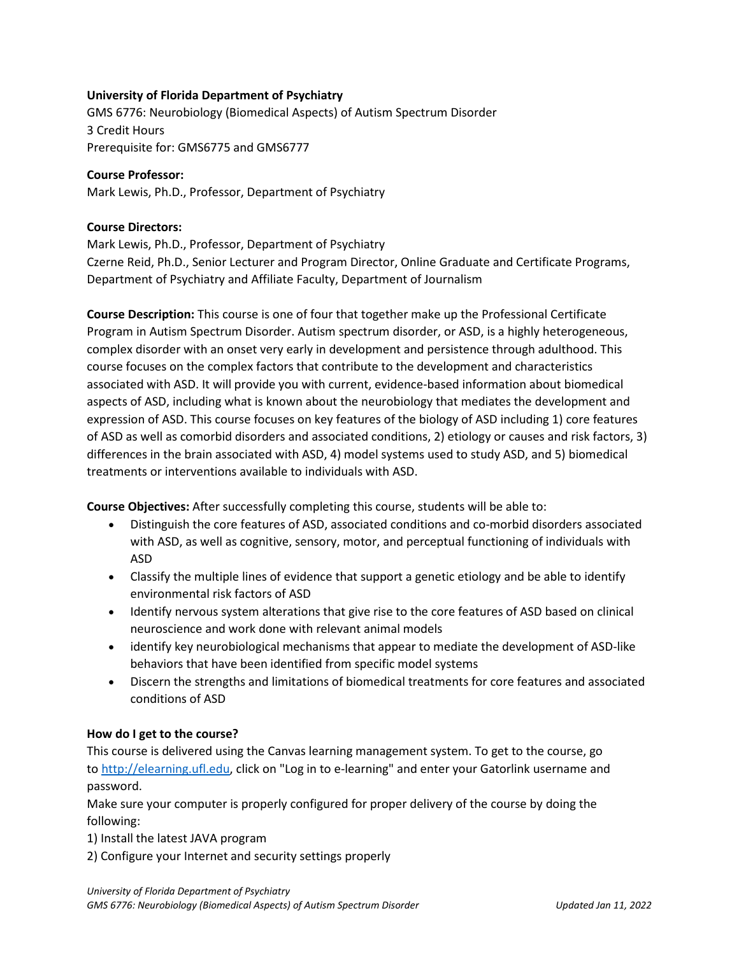# **University of Florida Department of Psychiatry**

GMS 6776: Neurobiology (Biomedical Aspects) of Autism Spectrum Disorder 3 Credit Hours Prerequisite for: GMS6775 and GMS6777

# **Course Professor:**

Mark Lewis, Ph.D., Professor, Department of Psychiatry

# **Course Directors:**

Mark Lewis, Ph.D., Professor, Department of Psychiatry Czerne Reid, Ph.D., Senior Lecturer and Program Director, Online Graduate and Certificate Programs, Department of Psychiatry and Affiliate Faculty, Department of Journalism

**Course Description:** This course is one of four that together make up the Professional Certificate Program in Autism Spectrum Disorder. Autism spectrum disorder, or ASD, is a highly heterogeneous, complex disorder with an onset very early in development and persistence through adulthood. This course focuses on the complex factors that contribute to the development and characteristics associated with ASD. It will provide you with current, evidence-based information about biomedical aspects of ASD, including what is known about the neurobiology that mediates the development and expression of ASD. This course focuses on key features of the biology of ASD including 1) core features of ASD as well as comorbid disorders and associated conditions, 2) etiology or causes and risk factors, 3) differences in the brain associated with ASD, 4) model systems used to study ASD, and 5) biomedical treatments or interventions available to individuals with ASD.

**Course Objectives:** After successfully completing this course, students will be able to:

- Distinguish the core features of ASD, associated conditions and co-morbid disorders associated with ASD, as well as cognitive, sensory, motor, and perceptual functioning of individuals with ASD
- Classify the multiple lines of evidence that support a genetic etiology and be able to identify environmental risk factors of ASD
- Identify nervous system alterations that give rise to the core features of ASD based on clinical neuroscience and work done with relevant animal models
- identify key neurobiological mechanisms that appear to mediate the development of ASD-like behaviors that have been identified from specific model systems
- Discern the strengths and limitations of biomedical treatments for core features and associated conditions of ASD

# **How do I get to the course?**

This course is delivered using the Canvas learning management system. To get to the course, go to [http://elearning.ufl.edu,](http://elearning.ufl.edu/) click on "Log in to e-learning" and enter your Gatorlink username and password.

Make sure your computer is properly configured for proper delivery of the course by doing the following:

- 1) Install the latest JAVA program
- 2) Configure your Internet and security settings properly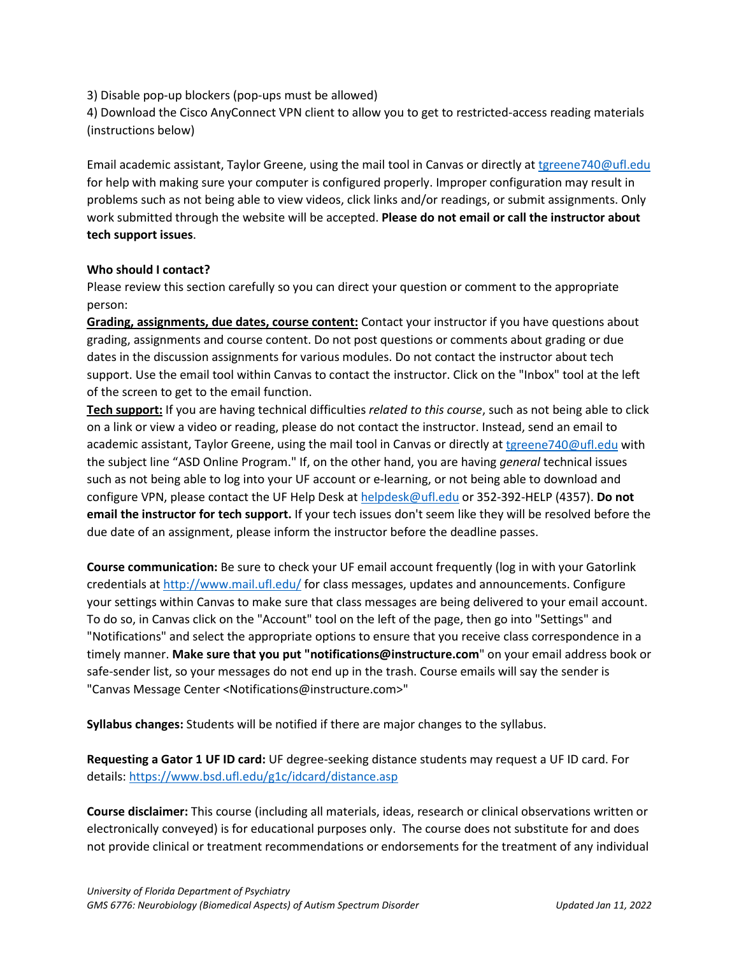3) Disable pop-up blockers (pop-ups must be allowed)

4) Download the Cisco AnyConnect VPN client to allow you to get to restricted-access reading materials (instructions below)

Email academic assistant, Taylor Greene, using the mail tool in Canvas or directly at [tgreene740@ufl.edu](mailto:tgreene740@ufl.edu) for help with making sure your computer is configured properly. Improper configuration may result in problems such as not being able to view videos, click links and/or readings, or submit assignments. Only work submitted through the website will be accepted. **Please do not email or call the instructor about tech support issues**.

#### **Who should I contact?**

Please review this section carefully so you can direct your question or comment to the appropriate person:

**Grading, assignments, due dates, course content:** Contact your instructor if you have questions about grading, assignments and course content. Do not post questions or comments about grading or due dates in the discussion assignments for various modules. Do not contact the instructor about tech support. Use the email tool within Canvas to contact the instructor. Click on the "Inbox" tool at the left of the screen to get to the email function.

**Tech support:** If you are having technical difficulties *related to this course*, such as not being able to click on a link or view a video or reading, please do not contact the instructor. Instead, send an email to academic assistant, Taylor Greene, using the mail tool in Canvas or directly at [tgreene740@ufl.edu](mailto:tgreene740@ufl.edu) with the subject line "ASD Online Program." If, on the other hand, you are having *general* technical issues such as not being able to log into your UF account or e-learning, or not being able to download and configure VPN, please contact the UF Help Desk at [helpdesk@ufl.edu](mailto:helpdesk@ufl.edu) or 352-392-HELP (4357). **Do not email the instructor for tech support.** If your tech issues don't seem like they will be resolved before the due date of an assignment, please inform the instructor before the deadline passes.

**Course communication:** Be sure to check your UF email account frequently (log in with your Gatorlink credentials at [http://www.mail.ufl.edu/](http://www.mail.ufl.edu/)) for class messages, updates and announcements. Configure your settings within Canvas to make sure that class messages are being delivered to your email account. To do so, in Canvas click on the "Account" tool on the left of the page, then go into "Settings" and "Notifications" and select the appropriate options to ensure that you receive class correspondence in a timely manner. **Make sure that you put "notifications@instructure.com**" on your email address book or safe-sender list, so your messages do not end up in the trash. Course emails will say the sender is "Canvas Message Center <Notifications@instructure.com>"

**Syllabus changes:** Students will be notified if there are major changes to the syllabus.

**Requesting a Gator 1 UF ID card:** UF degree-seeking distance students may request a UF ID card. For details:<https://www.bsd.ufl.edu/g1c/idcard/distance.asp>

**Course disclaimer:** This course (including all materials, ideas, research or clinical observations written or electronically conveyed) is for educational purposes only. The course does not substitute for and does not provide clinical or treatment recommendations or endorsements for the treatment of any individual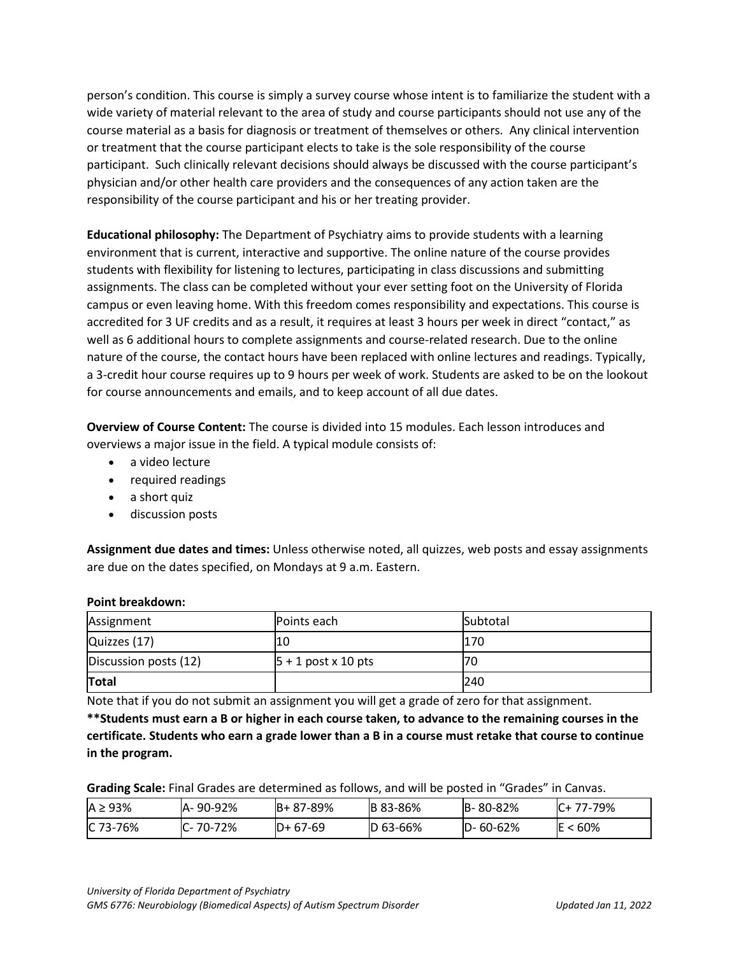person's condition. This course is simply a survey course whose intent is to familiarize the student with a wide variety of material relevant to the area of study and course participants should not use any of the course material as a basis for diagnosis or treatment of themselves or others. Any clinical intervention or treatment that the course participant elects to take is the sole responsibility of the course participant. Such clinically relevant decisions should always be discussed with the course participant's physician and/or other health care providers and the consequences of any action taken are the responsibility of the course participant and his or her treating provider.

**Educational philosophy:** The Department of Psychiatry aims to provide students with a learning environment that is current, interactive and supportive. The online nature of the course provides students with flexibility for listening to lectures, participating in class discussions and submitting assignments. The class can be completed without your ever setting foot on the University of Florida campus or even leaving home. With this freedom comes responsibility and expectations. This course is accredited for 3 UF credits and as a result, it requires at least 3 hours per week in direct "contact," as well as 6 additional hours to complete assignments and course-related research. Due to the online nature of the course, the contact hours have been replaced with online lectures and readings. Typically, a 3-credit hour course requires up to 9 hours per week of work. Students are asked to be on the lookout for course announcements and emails, and to keep account of all due dates.

**Overview of Course Content:** The course is divided into 15 modules. Each lesson introduces and overviews a major issue in the field. A typical module consists of:

- a video lecture
- required readings
- a short quiz
- discussion posts

**Assignment due dates and times:** Unless otherwise noted, all quizzes, web posts and essay assignments are due on the dates specified, on Mondays at 9 a.m. Eastern.

#### **Point breakdown:**

| Assignment            | Points each            | Subtotal |
|-----------------------|------------------------|----------|
| Quizzes (17)          | 10                     | 170      |
| Discussion posts (12) | $ 5 + 1$ post x 10 pts | 70       |
| Total                 |                        | 240      |

Note that if you do not submit an assignment you will get a grade of zero for that assignment.

**\*\*Students must earn a B or higher in each course taken, to advance to the remaining courses in the certificate. Students who earn a grade lower than a B in a course must retake that course to continue in the program.**

**Grading Scale:** Final Grades are determined as follows, and will be posted in "Grades" in Canvas.

| $A \geq 93\%$ | A-90-92%       | $B + 87 - 89%$ | <b>B</b> 83-86% | B-80-82% | C+ 77-79%  |
|---------------|----------------|----------------|-----------------|----------|------------|
| C 73-76%      | $C - 70 - 72%$ | $ID + 67-69$   | D 63-66%        | D-60-62% | $E < 60\%$ |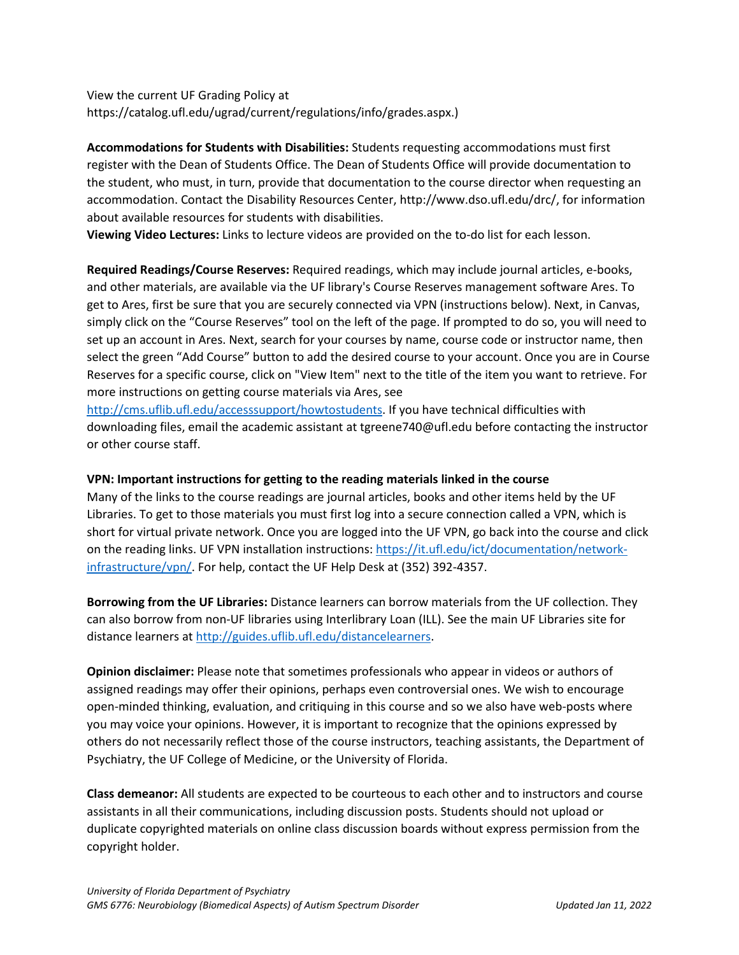View the current UF Grading Policy at https://catalog.ufl.edu/ugrad/current/regulations/info/grades.aspx.)

**Accommodations for Students with Disabilities:** Students requesting accommodations must first register with the Dean of Students Office. The Dean of Students Office will provide documentation to the student, who must, in turn, provide that documentation to the course director when requesting an accommodation. Contact the Disability Resources Center, http://www.dso.ufl.edu/drc/, for information about available resources for students with disabilities.

**Viewing Video Lectures:** Links to lecture videos are provided on the to-do list for each lesson.

**Required Readings/Course Reserves:** Required readings, which may include journal articles, e-books, and other materials, are available via the UF library's Course Reserves management software Ares. To get to Ares, first be sure that you are securely connected via VPN (instructions below). Next, in Canvas, simply click on the "Course Reserves" tool on the left of the page. If prompted to do so, you will need to set up an account in Ares. Next, search for your courses by name, course code or instructor name, then select the green "Add Course" button to add the desired course to your account. Once you are in Course Reserves for a specific course, click on "View Item" next to the title of the item you want to retrieve. For more instructions on getting course materials via Ares, see

[http://cms.uflib.ufl.edu/accesssupport/howtostudents.](http://cms.uflib.ufl.edu/accesssupport/howtostudents) If you have technical difficulties with downloading files, email the academic assistant at tgreene740@ufl.edu before contacting the instructor or other course staff.

#### **VPN: Important instructions for getting to the reading materials linked in the course**

Many of the links to the course readings are journal articles, books and other items held by the UF Libraries. To get to those materials you must first log into a secure connection called a VPN, which is short for virtual private network. Once you are logged into the UF VPN, go back into the course and click on the reading links. UF VPN installation instructions[: https://it.ufl.edu/ict/documentation/network](https://it.ufl.edu/ict/documentation/network-infrastructure/vpn/)[infrastructure/vpn/.](https://it.ufl.edu/ict/documentation/network-infrastructure/vpn/) For help, contact the UF Help Desk at (352) 392-4357.

**Borrowing from the UF Libraries:** Distance learners can borrow materials from the UF collection. They can also borrow from non-UF libraries using Interlibrary Loan (ILL). See the main UF Libraries site for distance learners at [http://guides.uflib.ufl.edu/distancelearners.](http://guides.uflib.ufl.edu/distancelearners)

**Opinion disclaimer:** Please note that sometimes professionals who appear in videos or authors of assigned readings may offer their opinions, perhaps even controversial ones. We wish to encourage open-minded thinking, evaluation, and critiquing in this course and so we also have web-posts where you may voice your opinions. However, it is important to recognize that the opinions expressed by others do not necessarily reflect those of the course instructors, teaching assistants, the Department of Psychiatry, the UF College of Medicine, or the University of Florida.

**Class demeanor:** All students are expected to be courteous to each other and to instructors and course assistants in all their communications, including discussion posts. Students should not upload or duplicate copyrighted materials on online class discussion boards without express permission from the copyright holder.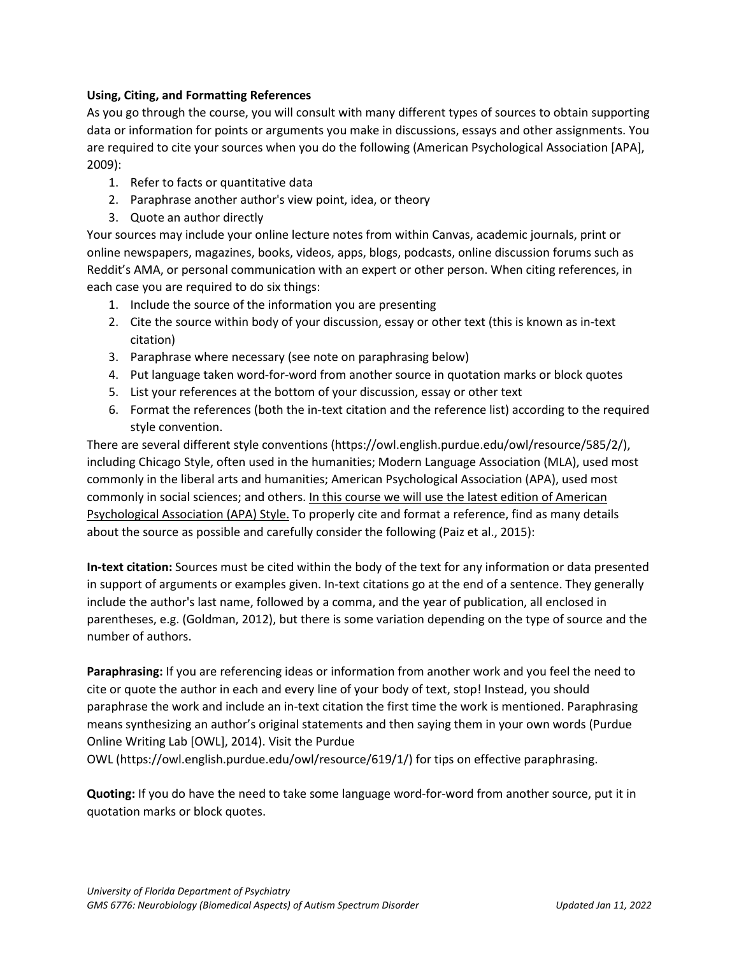# **Using, Citing, and Formatting References**

As you go through the course, you will consult with many different types of sources to obtain supporting data or information for points or arguments you make in discussions, essays and other assignments. You are required to cite your sources when you do the following (American Psychological Association [APA], 2009):

- 1. Refer to facts or quantitative data
- 2. Paraphrase another author's view point, idea, or theory
- 3. Quote an author directly

Your sources may include your online lecture notes from within Canvas, academic journals, print or online newspapers, magazines, books, videos, apps, blogs, podcasts, online discussion forums such as Reddit's AMA, or personal communication with an expert or other person. When citing references, in each case you are required to do six things:

- 1. Include the source of the information you are presenting
- 2. Cite the source within body of your discussion, essay or other text (this is known as in-text citation)
- 3. Paraphrase where necessary (see note on paraphrasing below)
- 4. Put language taken word-for-word from another source in quotation marks or block quotes
- 5. List your references at the bottom of your discussion, essay or other text
- 6. Format the references (both the in-text citation and the reference list) according to the required style convention.

There are several different style conventions (https://owl.english.purdue.edu/owl/resource/585/2/), including Chicago Style, often used in the humanities; Modern Language Association (MLA), used most commonly in the liberal arts and humanities; American Psychological Association (APA), used most commonly in social sciences; and others. In this course we will use the latest edition of American Psychological Association (APA) Style. To properly cite and format a reference, find as many details about the source as possible and carefully consider the following (Paiz et al., 2015):

**In-text citation:** Sources must be cited within the body of the text for any information or data presented in support of arguments or examples given. In-text citations go at the end of a sentence. They generally include the author's last name, followed by a comma, and the year of publication, all enclosed in parentheses, e.g. (Goldman, 2012), but there is some variation depending on the type of source and the number of authors.

**Paraphrasing:** If you are referencing ideas or information from another work and you feel the need to cite or quote the author in each and every line of your body of text, stop! Instead, you should paraphrase the work and include an in-text citation the first time the work is mentioned. Paraphrasing means synthesizing an author's original statements and then saying them in your own words (Purdue Online Writing Lab [OWL], 2014). Visit the Purdue

OWL (https://owl.english.purdue.edu/owl/resource/619/1/) for tips on effective paraphrasing.

**Quoting:** If you do have the need to take some language word-for-word from another source, put it in quotation marks or block quotes.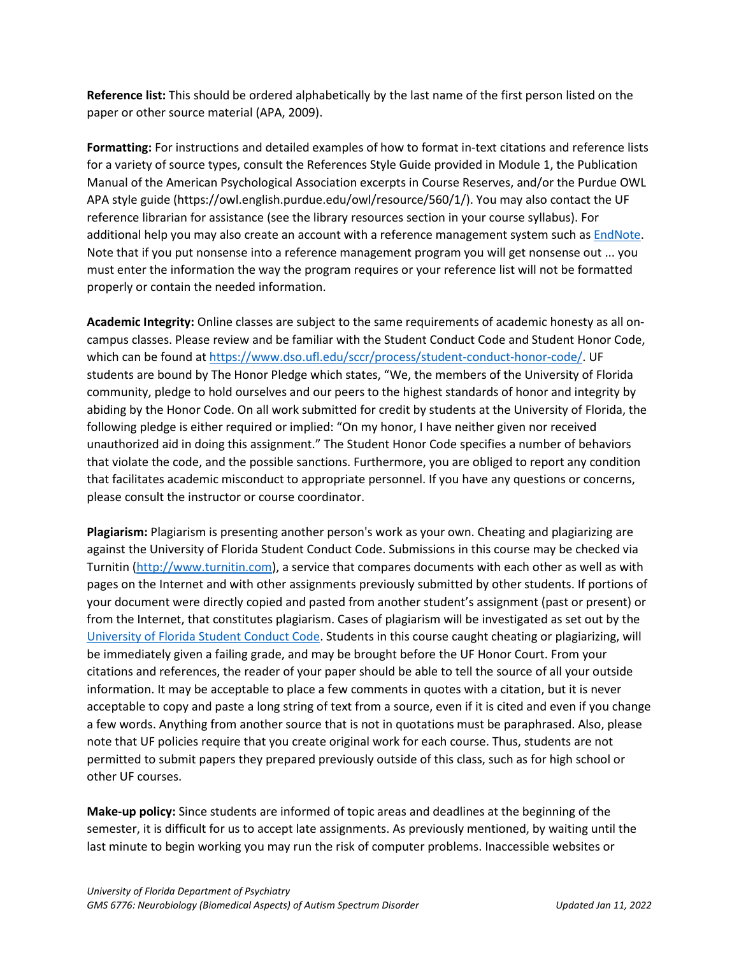**Reference list:** This should be ordered alphabetically by the last name of the first person listed on the paper or other source material (APA, 2009).

**Formatting:** For instructions and detailed examples of how to format in-text citations and reference lists for a variety of source types, consult the References Style Guide provided in Module 1, the Publication Manual of the American Psychological Association excerpts in Course Reserves, and/or the Purdue OWL APA style guide (https://owl.english.purdue.edu/owl/resource/560/1/). You may also contact the UF reference librarian for assistance (see the library resources section in your course syllabus). For additional help you may also create an account with a reference management system such as [EndNote.](https://guides.uflib.ufl.edu/endnote) Note that if you put nonsense into a reference management program you will get nonsense out ... you must enter the information the way the program requires or your reference list will not be formatted properly or contain the needed information.

**Academic Integrity:** Online classes are subject to the same requirements of academic honesty as all oncampus classes. Please review and be familiar with the Student Conduct Code and Student Honor Code, which can be found a[t https://www.dso.ufl.edu/sccr/process/student-conduct-honor-code/.](https://www.dso.ufl.edu/sccr/process/student-conduct-honor-code/) UF students are bound by The Honor Pledge which states, "We, the members of the University of Florida community, pledge to hold ourselves and our peers to the highest standards of honor and integrity by abiding by the Honor Code. On all work submitted for credit by students at the University of Florida, the following pledge is either required or implied: "On my honor, I have neither given nor received unauthorized aid in doing this assignment." The Student Honor Code specifies a number of behaviors that violate the code, and the possible sanctions. Furthermore, you are obliged to report any condition that facilitates academic misconduct to appropriate personnel. If you have any questions or concerns, please consult the instructor or course coordinator.

**Plagiarism:** Plagiarism is presenting another person's work as your own. Cheating and plagiarizing are against the University of Florida Student Conduct Code. Submissions in this course may be checked via Turnitin [\(http://www.turnitin.com\)](http://www.turnitin.com/), a service that compares documents with each other as well as with pages on the Internet and with other assignments previously submitted by other students. If portions of your document were directly copied and pasted from another student's assignment (past or present) or from the Internet, that constitutes plagiarism. Cases of plagiarism will be investigated as set out by the [University of Florida Student Conduct Code.](https://sccr.dso.ufl.edu/) Students in this course caught cheating or plagiarizing, will be immediately given a failing grade, and may be brought before the UF Honor Court. From your citations and references, the reader of your paper should be able to tell the source of all your outside information. It may be acceptable to place a few comments in quotes with a citation, but it is never acceptable to copy and paste a long string of text from a source, even if it is cited and even if you change a few words. Anything from another source that is not in quotations must be paraphrased. Also, please note that UF policies require that you create original work for each course. Thus, students are not permitted to submit papers they prepared previously outside of this class, such as for high school or other UF courses.

**Make-up policy:** Since students are informed of topic areas and deadlines at the beginning of the semester, it is difficult for us to accept late assignments. As previously mentioned, by waiting until the last minute to begin working you may run the risk of computer problems. Inaccessible websites or